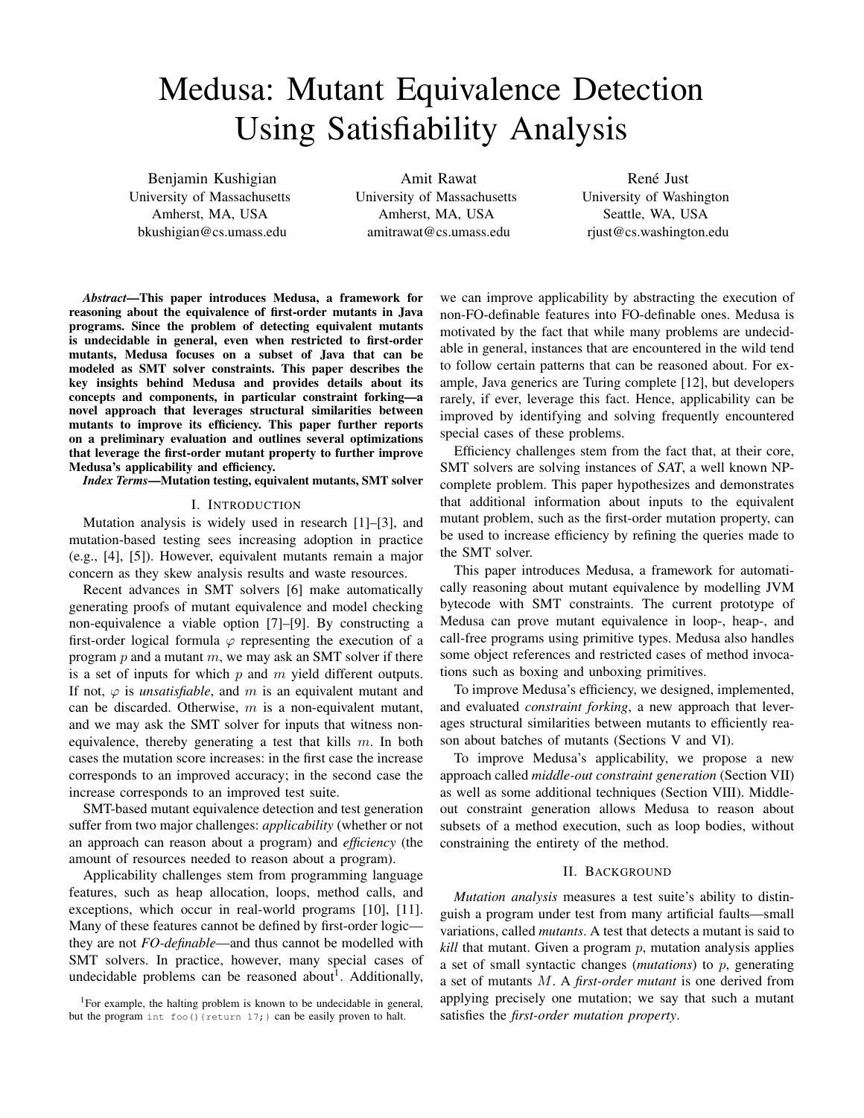# Medusa: Mutant Equivalence Detection Using Satisfiability Analysis

Benjamin Kushigian University of Massachusetts Amherst, MA, USA bkushigian@cs.umass.edu

Amit Rawat University of Massachusetts Amherst, MA, USA amitrawat@cs.umass.edu

René Just University of Washington Seattle, WA, USA rjust@cs.washington.edu

*Abstract*—This paper introduces Medusa, a framework for reasoning about the equivalence of first-order mutants in Java programs. Since the problem of detecting equivalent mutants is undecidable in general, even when restricted to first-order mutants, Medusa focuses on a subset of Java that can be modeled as SMT solver constraints. This paper describes the key insights behind Medusa and provides details about its concepts and components, in particular constraint forking—a novel approach that leverages structural similarities between mutants to improve its efficiency. This paper further reports on a preliminary evaluation and outlines several optimizations that leverage the first-order mutant property to further improve Medusa's applicability and efficiency.

*Index Terms*—Mutation testing, equivalent mutants, SMT solver

#### I. INTRODUCTION

Mutation analysis is widely used in research [1]–[3], and mutation-based testing sees increasing adoption in practice (e.g., [4], [5]). However, equivalent mutants remain a major concern as they skew analysis results and waste resources.

Recent advances in SMT solvers [6] make automatically generating proofs of mutant equivalence and model checking non-equivalence a viable option [7]–[9]. By constructing a first-order logical formula  $\varphi$  representing the execution of a program  $p$  and a mutant  $m$ , we may ask an SMT solver if there is a set of inputs for which  $p$  and  $m$  yield different outputs. If not,  $\varphi$  is *unsatisfiable*, and m is an equivalent mutant and can be discarded. Otherwise,  $m$  is a non-equivalent mutant, and we may ask the SMT solver for inputs that witness nonequivalence, thereby generating a test that kills  $m$ . In both cases the mutation score increases: in the first case the increase corresponds to an improved accuracy; in the second case the increase corresponds to an improved test suite.

SMT-based mutant equivalence detection and test generation suffer from two major challenges: *applicability* (whether or not an approach can reason about a program) and *efficiency* (the amount of resources needed to reason about a program).

Applicability challenges stem from programming language features, such as heap allocation, loops, method calls, and exceptions, which occur in real-world programs [10], [11]. Many of these features cannot be defined by first-order logic they are not *FO-definable*—and thus cannot be modelled with SMT solvers. In practice, however, many special cases of undecidable problems can be reasoned about<sup>1</sup>. Additionally,

<sup>1</sup>For example, the halting problem is known to be undecidable in general, but the program int foo() {return 17; } can be easily proven to halt.

we can improve applicability by abstracting the execution of non-FO-definable features into FO-definable ones. Medusa is motivated by the fact that while many problems are undecidable in general, instances that are encountered in the wild tend to follow certain patterns that can be reasoned about. For example, Java generics are Turing complete [12], but developers rarely, if ever, leverage this fact. Hence, applicability can be improved by identifying and solving frequently encountered special cases of these problems.

Efficiency challenges stem from the fact that, at their core, SMT solvers are solving instances of SAT, a well known NPcomplete problem. This paper hypothesizes and demonstrates that additional information about inputs to the equivalent mutant problem, such as the first-order mutation property, can be used to increase efficiency by refining the queries made to the SMT solver.

This paper introduces Medusa, a framework for automatically reasoning about mutant equivalence by modelling JVM bytecode with SMT constraints. The current prototype of Medusa can prove mutant equivalence in loop-, heap-, and call-free programs using primitive types. Medusa also handles some object references and restricted cases of method invocations such as boxing and unboxing primitives.

To improve Medusa's efficiency, we designed, implemented, and evaluated *constraint forking*, a new approach that leverages structural similarities between mutants to efficiently reason about batches of mutants (Sections V and VI).

To improve Medusa's applicability, we propose a new approach called *middle-out constraint generation* (Section VII) as well as some additional techniques (Section VIII). Middleout constraint generation allows Medusa to reason about subsets of a method execution, such as loop bodies, without constraining the entirety of the method.

### II. BACKGROUND

*Mutation analysis* measures a test suite's ability to distinguish a program under test from many artificial faults—small variations, called *mutants*. A test that detects a mutant is said to  $kill$  that mutant. Given a program  $p$ , mutation analysis applies a set of small syntactic changes (*mutations*) to p, generating a set of mutants M. A *first-order mutant* is one derived from applying precisely one mutation; we say that such a mutant satisfies the *first-order mutation property*.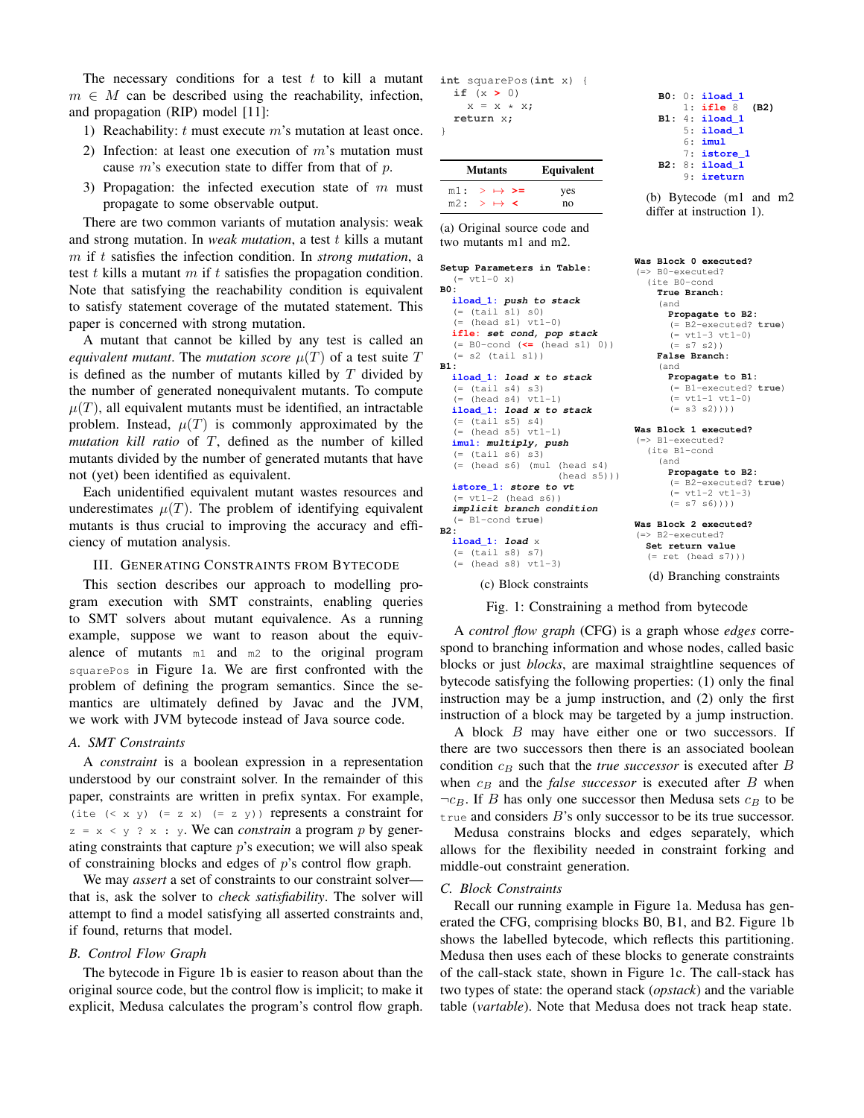The necessary conditions for a test  $t$  to kill a mutant  $m \in M$  can be described using the reachability, infection, and propagation (RIP) model [11]:

- 1) Reachability:  $t$  must execute  $m$ 's mutation at least once.
- 2) Infection: at least one execution of  $m$ 's mutation must cause  $m$ 's execution state to differ from that of  $p$ .
- 3) Propagation: the infected execution state of  $m$  must propagate to some observable output.

There are two common variants of mutation analysis: weak and strong mutation. In *weak mutation*, a test t kills a mutant m if t satisfies the infection condition. In *strong mutation*, a test t kills a mutant  $m$  if t satisfies the propagation condition. Note that satisfying the reachability condition is equivalent to satisfy statement coverage of the mutated statement. This paper is concerned with strong mutation.

A mutant that cannot be killed by any test is called an *equivalent mutant.* The *mutation score*  $\mu(T)$  of a test suite T is defined as the number of mutants killed by  $T$  divided by the number of generated nonequivalent mutants. To compute  $\mu(T)$ , all equivalent mutants must be identified, an intractable problem. Instead,  $\mu(T)$  is commonly approximated by the *mutation kill ratio* of T, defined as the number of killed mutants divided by the number of generated mutants that have not (yet) been identified as equivalent.

Each unidentified equivalent mutant wastes resources and underestimates  $\mu(T)$ . The problem of identifying equivalent mutants is thus crucial to improving the accuracy and efficiency of mutation analysis.

#### III. GENERATING CONSTRAINTS FROM BYTECODE

This section describes our approach to modelling program execution with SMT constraints, enabling queries to SMT solvers about mutant equivalence. As a running example, suppose we want to reason about the equivalence of mutants m1 and m2 to the original program squarePos in Figure 1a. We are first confronted with the problem of defining the program semantics. Since the semantics are ultimately defined by Javac and the JVM, we work with JVM bytecode instead of Java source code.

## *A. SMT Constraints*

A *constraint* is a boolean expression in a representation understood by our constraint solver. In the remainder of this paper, constraints are written in prefix syntax. For example, (ite  $( $x$  y) (=  $z$  x) (=  $z$  y)) represents a constraint for$  $z = x < y$  ? x : y. We can *constrain* a program p by generating constraints that capture  $p$ 's execution; we will also speak of constraining blocks and edges of p's control flow graph.

We may *assert* a set of constraints to our constraint solver that is, ask the solver to *check satisfiability*. The solver will attempt to find a model satisfying all asserted constraints and, if found, returns that model.

# *B. Control Flow Graph*

The bytecode in Figure 1b is easier to reason about than the original source code, but the control flow is implicit; to make it explicit, Medusa calculates the program's control flow graph.

```
int squarePos(int x) {
  if (x > 0)
    x = x \cdot x;return x;
```
}

|     | <b>Mutants</b>                            | Equivalent |
|-----|-------------------------------------------|------------|
|     | $m1: \rightarrow \mapsto \rightarrow =$   | yes        |
| m2: | $\rightarrow$ $\rightarrow$ $\rightarrow$ | no         |

(a) Original source code and two mutants m1 and m2.

```
Setup Parameters in Table:
  (= v t 1 - 0 x)B0:
  iload_1: push to stack
  (= (tail s1) s0)
  (= (head s1) vt1-0)ifle: set cond, pop stack
  (= B0-cond (<= (head s1) 0))
  (= s2 (tail s1))
B1:
  iload_1: load x to stack
  (= (tail s4) s3)(= (head s4) vt1-1)
  iload_1: load x to stack
  (= (tail s5) s4)<br>(= (head s5) vt1
     (head s5) vt1-1)imul: multiply, push
  (= (tail s6) s3)(= (head s6) (mul (head s4)
                      (head s5))istore_1: store to vt
  (= v t 1 - 2 (head s6))
  implicit branch condition
  (= B1-cond true)
B2:
  iload_1: load x
  (= (tail s8) s7)
(= (head s8) vt1-3)
```
(c) Block constraints

**B0:** 0: **iload\_1** 1: **ifle** 8 **(B2) B1:** 4: **iload\_1** 5: **iload\_1** 6: **imul** 7: **istore\_1 B2:** 8: **iload\_1** 9: **ireturn**

(b) Bytecode (m1 and m2 differ at instruction 1).

```
Was Block 0 executed?
(=> B0-executed?
  (ite B0-cond
    True Branch:
    (and
      Propagate to B2:
      (= B2-executed? true)
       (= vt1-3 vt1-0)(= s7 s2)False Branch:
    (and
      Propagate to B1:
       (= B1-executed? true)
       (= vt1-1 vt1-0)(= s3 s2))))
Was Block 1 executed?
(=> B1-executed?
  (ite B1-cond
    (and
      Propagate to B2:
      (= B2-executed? true)
       (= v t 1 - 2 v t 1 - 3)(= s7 s6)))
Was Block 2 executed?
(=> B2-executed?
  Set return value
  (= ret (head s7))(d) Branching constraints
```
Fig. 1: Constraining a method from bytecode

A *control flow graph* (CFG) is a graph whose *edges* correspond to branching information and whose nodes, called basic blocks or just *blocks*, are maximal straightline sequences of bytecode satisfying the following properties: (1) only the final instruction may be a jump instruction, and (2) only the first instruction of a block may be targeted by a jump instruction.

A block B may have either one or two successors. If there are two successors then there is an associated boolean condition  $c_B$  such that the *true successor* is executed after  $B$ when  $c_B$  and the *false successor* is executed after  $B$  when  $\neg c_B$ . If B has only one successor then Medusa sets  $c_B$  to be true and considers  $B$ 's only successor to be its true successor.

Medusa constrains blocks and edges separately, which allows for the flexibility needed in constraint forking and middle-out constraint generation.

#### *C. Block Constraints*

Recall our running example in Figure 1a. Medusa has generated the CFG, comprising blocks B0, B1, and B2. Figure 1b shows the labelled bytecode, which reflects this partitioning. Medusa then uses each of these blocks to generate constraints of the call-stack state, shown in Figure 1c. The call-stack has two types of state: the operand stack (*opstack*) and the variable table (*vartable*). Note that Medusa does not track heap state.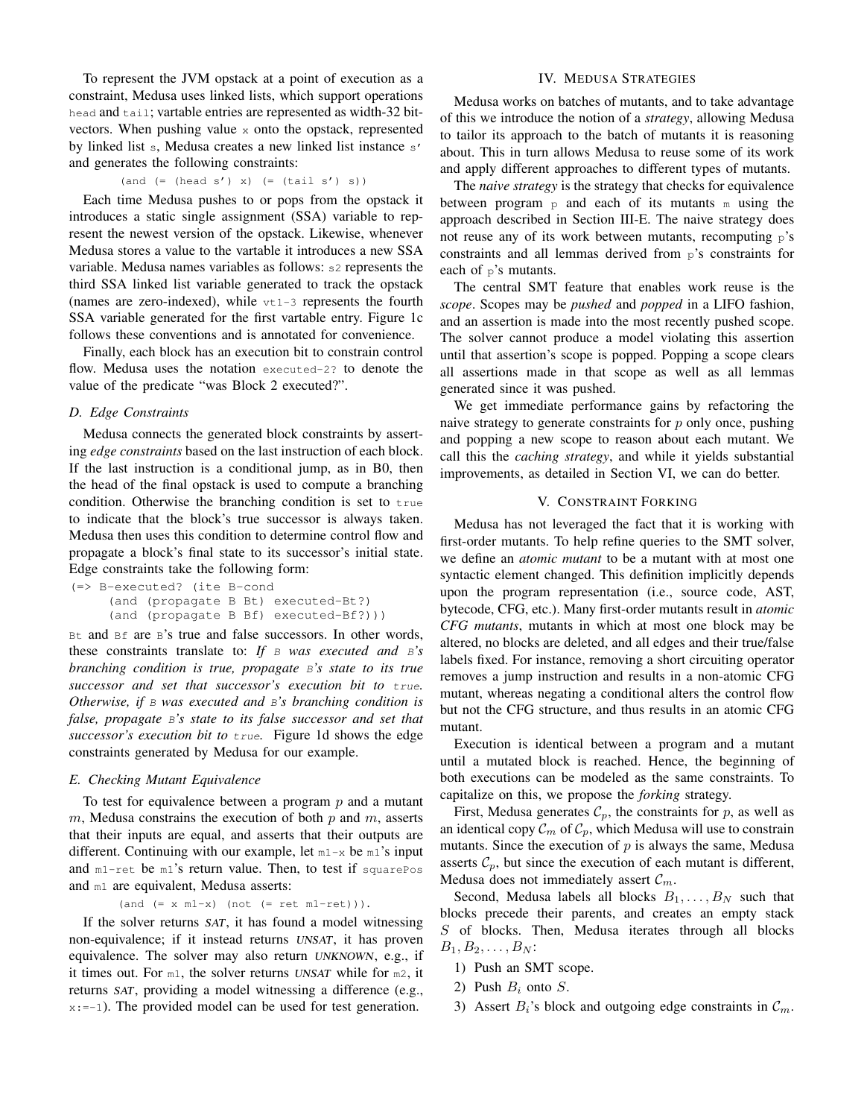To represent the JVM opstack at a point of execution as a constraint, Medusa uses linked lists, which support operations head and tail; vartable entries are represented as width-32 bitvectors. When pushing value  $x$  onto the opstack, represented by linked list s, Medusa creates a new linked list instance s' and generates the following constraints:

# $($ and  $($ =  $($ head s' $)$  x $)$   $($ =  $($ tail s' $)$  s $)$

Each time Medusa pushes to or pops from the opstack it introduces a static single assignment (SSA) variable to represent the newest version of the opstack. Likewise, whenever Medusa stores a value to the vartable it introduces a new SSA variable. Medusa names variables as follows: s2 represents the third SSA linked list variable generated to track the opstack (names are zero-indexed), while  $vt1-3$  represents the fourth SSA variable generated for the first vartable entry. Figure 1c follows these conventions and is annotated for convenience.

Finally, each block has an execution bit to constrain control flow. Medusa uses the notation executed-2? to denote the value of the predicate "was Block 2 executed?".

### *D. Edge Constraints*

Medusa connects the generated block constraints by asserting *edge constraints* based on the last instruction of each block. If the last instruction is a conditional jump, as in B0, then the head of the final opstack is used to compute a branching condition. Otherwise the branching condition is set to  $true$ to indicate that the block's true successor is always taken. Medusa then uses this condition to determine control flow and propagate a block's final state to its successor's initial state. Edge constraints take the following form:

```
(=> B-executed? (ite B-cond
     (and (propagate B Bt) executed-Bt?)
     (and (propagate B Bf) executed-Bf?)))
```
Bt and Bf are B's true and false successors. In other words, these constraints translate to: *If* B *was executed and* B*'s branching condition is true, propagate* B*'s state to its true successor and set that successor's execution bit to* true*. Otherwise, if* B *was executed and* B*'s branching condition is false, propagate* B*'s state to its false successor and set that successor's execution bit to* true*.* Figure 1d shows the edge constraints generated by Medusa for our example.

## *E. Checking Mutant Equivalence*

To test for equivalence between a program  $p$  and a mutant m, Medusa constrains the execution of both  $p$  and  $m$ , asserts that their inputs are equal, and asserts that their outputs are different. Continuing with our example, let  $m1-x$  be  $m1$ 's input and m1-ret be m1's return value. Then, to test if squarePos and m1 are equivalent, Medusa asserts:

 $($ and  $($  =  $x$  m1- $x)$   $($ not  $($  =  $ret$  m1- $ret)$  $)).$ 

If the solver returns SAT, it has found a model witnessing non-equivalence; if it instead returns UNSAT, it has proven equivalence. The solver may also return UNKNOWN, e.g., if it times out. For m1, the solver returns UNSAT while for m2, it returns SAT, providing a model witnessing a difference (e.g.,  $x:=-1$ ). The provided model can be used for test generation.

# IV. MEDUSA STRATEGIES

Medusa works on batches of mutants, and to take advantage of this we introduce the notion of a *strategy*, allowing Medusa to tailor its approach to the batch of mutants it is reasoning about. This in turn allows Medusa to reuse some of its work and apply different approaches to different types of mutants.

The *naive strategy* is the strategy that checks for equivalence between program  $\beta$  and each of its mutants m using the approach described in Section III-E. The naive strategy does not reuse any of its work between mutants, recomputing  $p$ 's constraints and all lemmas derived from p's constraints for each of p's mutants.

The central SMT feature that enables work reuse is the *scope*. Scopes may be *pushed* and *popped* in a LIFO fashion, and an assertion is made into the most recently pushed scope. The solver cannot produce a model violating this assertion until that assertion's scope is popped. Popping a scope clears all assertions made in that scope as well as all lemmas generated since it was pushed.

We get immediate performance gains by refactoring the naive strategy to generate constraints for  $p$  only once, pushing and popping a new scope to reason about each mutant. We call this the *caching strategy*, and while it yields substantial improvements, as detailed in Section VI, we can do better.

#### V. CONSTRAINT FORKING

Medusa has not leveraged the fact that it is working with first-order mutants. To help refine queries to the SMT solver, we define an *atomic mutant* to be a mutant with at most one syntactic element changed. This definition implicitly depends upon the program representation (i.e., source code, AST, bytecode, CFG, etc.). Many first-order mutants result in *atomic CFG mutants*, mutants in which at most one block may be altered, no blocks are deleted, and all edges and their true/false labels fixed. For instance, removing a short circuiting operator removes a jump instruction and results in a non-atomic CFG mutant, whereas negating a conditional alters the control flow but not the CFG structure, and thus results in an atomic CFG mutant.

Execution is identical between a program and a mutant until a mutated block is reached. Hence, the beginning of both executions can be modeled as the same constraints. To capitalize on this, we propose the *forking* strategy.

First, Medusa generates  $C_p$ , the constraints for p, as well as an identical copy  $\mathcal{C}_m$  of  $\mathcal{C}_p$ , which Medusa will use to constrain mutants. Since the execution of  $p$  is always the same, Medusa asserts  $C_p$ , but since the execution of each mutant is different, Medusa does not immediately assert  $\mathcal{C}_m$ .

Second, Medusa labels all blocks  $B_1, \ldots, B_N$  such that blocks precede their parents, and creates an empty stack S of blocks. Then, Medusa iterates through all blocks  $B_1, B_2, \ldots, B_N$ :

- 1) Push an SMT scope.
- 2) Push  $B_i$  onto  $S$ .
- 3) Assert  $B_i$ 's block and outgoing edge constraints in  $\mathcal{C}_m$ .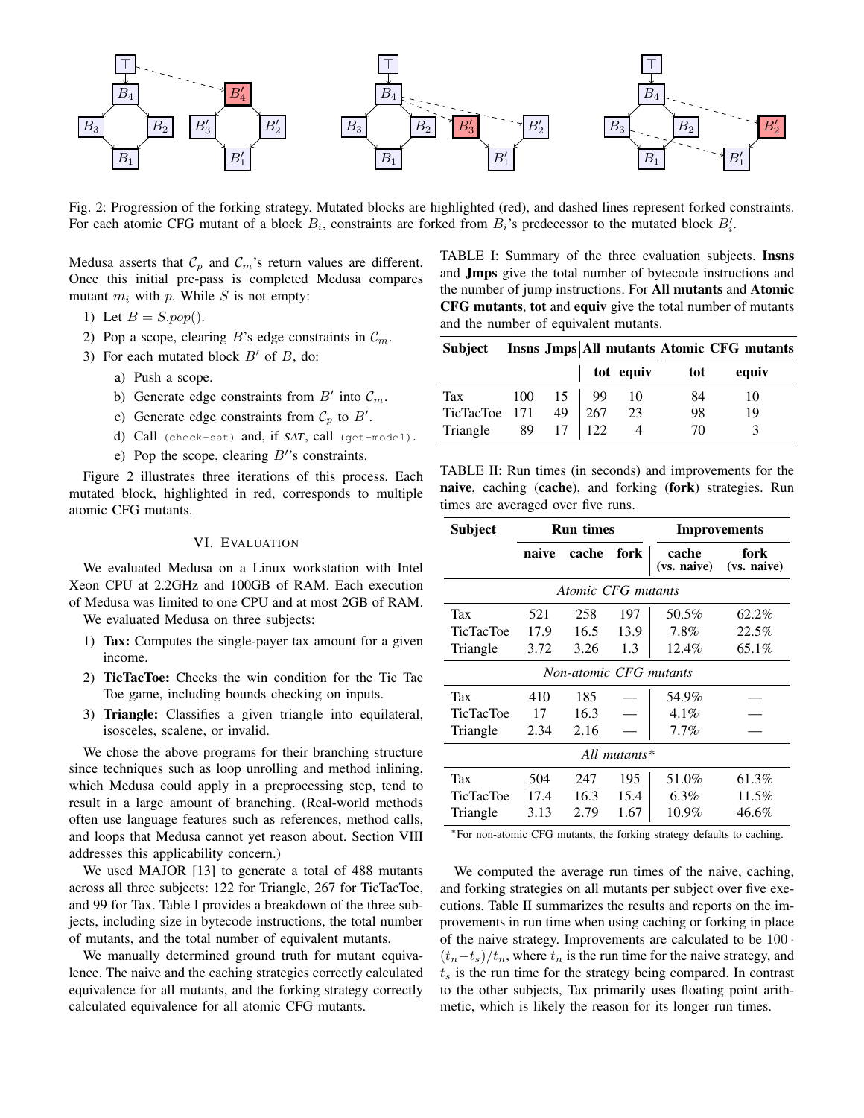

Fig. 2: Progression of the forking strategy. Mutated blocks are highlighted (red), and dashed lines represent forked constraints. For each atomic CFG mutant of a block  $B_i$ , constraints are forked from  $B_i$ 's predecessor to the mutated block  $B_i'$ .

Medusa asserts that  $C_p$  and  $C_m$ 's return values are different. Once this initial pre-pass is completed Medusa compares mutant  $m_i$  with p. While S is not empty:

- 1) Let  $B = S.pop($ .
- 2) Pop a scope, clearing B's edge constraints in  $\mathcal{C}_m$ .
- 3) For each mutated block  $B'$  of  $B$ , do:
	- a) Push a scope.
	- b) Generate edge constraints from  $B'$  into  $\mathcal{C}_m$ .
	- c) Generate edge constraints from  $C_p$  to  $B'$ .
	- d) Call (check-sat) and, if SAT, call (get-model).
	- e) Pop the scope, clearing  $B$ <sup>'</sup>'s constraints.

Figure 2 illustrates three iterations of this process. Each mutated block, highlighted in red, corresponds to multiple atomic CFG mutants.

## VI. EVALUATION

We evaluated Medusa on a Linux workstation with Intel Xeon CPU at 2.2GHz and 100GB of RAM. Each execution of Medusa was limited to one CPU and at most 2GB of RAM.

We evaluated Medusa on three subjects:

- 1) Tax: Computes the single-payer tax amount for a given income.
- 2) TicTacToe: Checks the win condition for the Tic Tac Toe game, including bounds checking on inputs.
- 3) Triangle: Classifies a given triangle into equilateral, isosceles, scalene, or invalid.

We chose the above programs for their branching structure since techniques such as loop unrolling and method inlining, which Medusa could apply in a preprocessing step, tend to result in a large amount of branching. (Real-world methods often use language features such as references, method calls, and loops that Medusa cannot yet reason about. Section VIII addresses this applicability concern.)

We used MAJOR [13] to generate a total of 488 mutants across all three subjects: 122 for Triangle, 267 for TicTacToe, and 99 for Tax. Table I provides a breakdown of the three subjects, including size in bytecode instructions, the total number of mutants, and the total number of equivalent mutants.

We manually determined ground truth for mutant equivalence. The naive and the caching strategies correctly calculated equivalence for all mutants, and the forking strategy correctly calculated equivalence for all atomic CFG mutants.

TABLE I: Summary of the three evaluation subjects. Insns and Jmps give the total number of bytecode instructions and the number of jump instructions. For All mutants and Atomic CFG mutants, tot and equiv give the total number of mutants and the number of equivalent mutants.

| Subject |  | Insns Jmps All mutants Atomic CFG mutants |  |  |  |
|---------|--|-------------------------------------------|--|--|--|
|---------|--|-------------------------------------------|--|--|--|

|               |    |                        |             | tot equiv | tot | equiv |  |
|---------------|----|------------------------|-------------|-----------|-----|-------|--|
| <b>Tax</b>    |    | $100 \quad 15 \mid 99$ |             | 10        | 84  | 10    |  |
| TicTacToe 171 |    |                        | 49   267    | 23        | 98  | 19    |  |
| Triangle      | 89 | 17                     | $\vert$ 122 |           | 70  |       |  |

TABLE II: Run times (in seconds) and improvements for the naive, caching (cache), and forking (fork) strategies. Run times are averaged over five runs.

| Subject                | <b>Run times</b> |       |      |                      | Improvements        |  |
|------------------------|------------------|-------|------|----------------------|---------------------|--|
|                        | naive            | cache | fork | cache<br>(vs. naive) | fork<br>(vs. naive) |  |
| Atomic CFG mutants     |                  |       |      |                      |                     |  |
| Tax                    | 521              | 258   | 197  | 50.5%                | 62.2%               |  |
| <b>TicTacToe</b>       | 17.9             | 16.5  | 13.9 | 7.8%                 | 22.5%               |  |
| Triangle               | 3.72             | 3.26  | 1.3  | $12.4\%$             | 65.1%               |  |
| Non-atomic CFG mutants |                  |       |      |                      |                     |  |
| Tax                    | 410              | 185   |      | 54.9%                |                     |  |
| <b>TicTacToe</b>       | 17               | 16.3  |      | $4.1\%$              |                     |  |
| Triangle               | 2.34             | 2.16  |      | 7.7%                 |                     |  |
| All mutants $*$        |                  |       |      |                      |                     |  |
| Tax                    | 504              | 247   | 195  | 51.0%                | 61.3%               |  |
| <b>TicTacToe</b>       | 17.4             | 16.3  | 15.4 | $6.3\%$              | 11.5%               |  |
| Triangle               | 3.13             | 2.79  | 1.67 | $10.9\%$             | 46.6%               |  |

<sup>∗</sup>For non-atomic CFG mutants, the forking strategy defaults to caching.

We computed the average run times of the naive, caching, and forking strategies on all mutants per subject over five executions. Table II summarizes the results and reports on the improvements in run time when using caching or forking in place of the naive strategy. Improvements are calculated to be 100 ·  $(t_n-t_s)/t_n$ , where  $t_n$  is the run time for the naive strategy, and  $t<sub>s</sub>$  is the run time for the strategy being compared. In contrast to the other subjects, Tax primarily uses floating point arithmetic, which is likely the reason for its longer run times.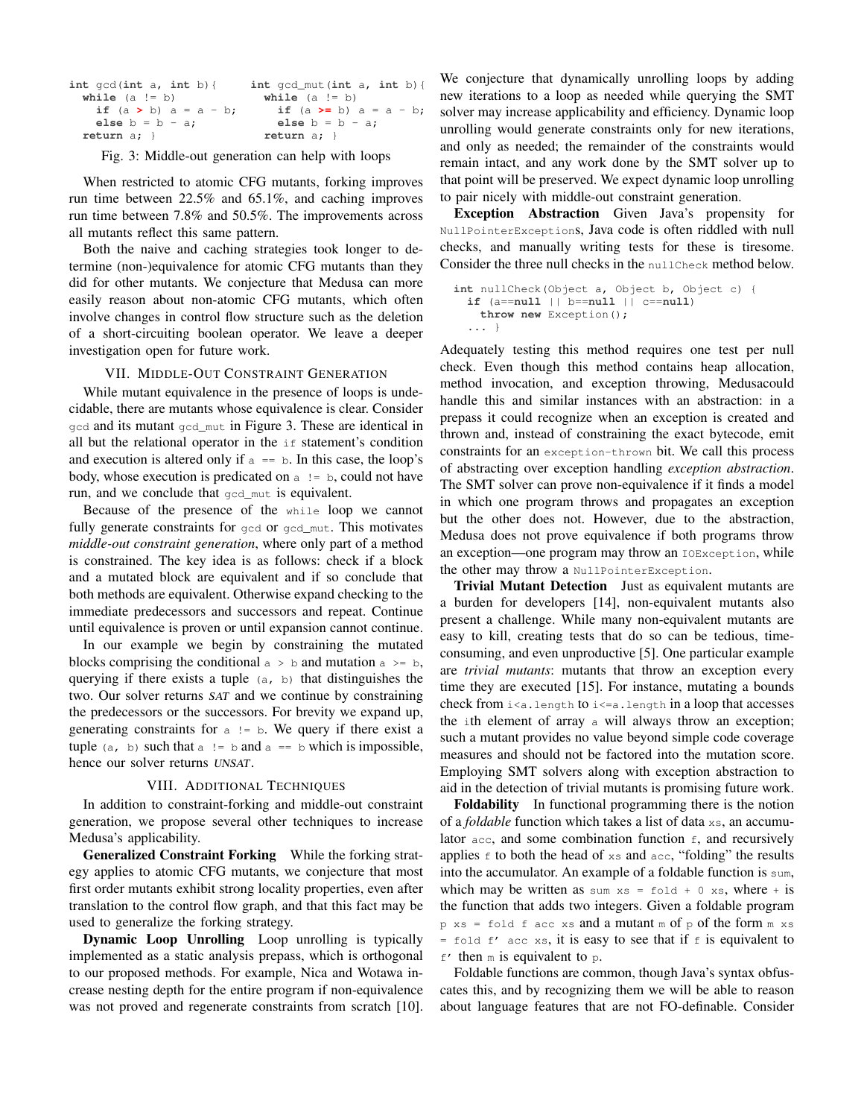| int $gcd(int a, int b)$    | $int qcd_{mut}(int a, int b)$ |
|----------------------------|-------------------------------|
| while $(a := b)$           | while $(a := b)$              |
| if $(a > b)$ $a = a - b$ ; | if $(a \ge b)$ $a = a - b$ ;  |
| else $b = b - a$ ;         | else $b = b - a$ ;            |
| return $a$ ; $\}$          | return $a$ ; $\}$             |

Fig. 3: Middle-out generation can help with loops

When restricted to atomic CFG mutants, forking improves run time between 22.5% and 65.1%, and caching improves run time between 7.8% and 50.5%. The improvements across all mutants reflect this same pattern.

Both the naive and caching strategies took longer to determine (non-)equivalence for atomic CFG mutants than they did for other mutants. We conjecture that Medusa can more easily reason about non-atomic CFG mutants, which often involve changes in control flow structure such as the deletion of a short-circuiting boolean operator. We leave a deeper investigation open for future work.

# VII. MIDDLE-OUT CONSTRAINT GENERATION

While mutant equivalence in the presence of loops is undecidable, there are mutants whose equivalence is clear. Consider gcd and its mutant gcd\_mut in Figure 3. These are identical in all but the relational operator in the if statement's condition and execution is altered only if  $a == b$ . In this case, the loop's body, whose execution is predicated on  $a := b$ , could not have run, and we conclude that gcd\_mut is equivalent.

Because of the presence of the while loop we cannot fully generate constraints for gcd or gcd\_mut. This motivates *middle-out constraint generation*, where only part of a method is constrained. The key idea is as follows: check if a block and a mutated block are equivalent and if so conclude that both methods are equivalent. Otherwise expand checking to the immediate predecessors and successors and repeat. Continue until equivalence is proven or until expansion cannot continue.

In our example we begin by constraining the mutated blocks comprising the conditional  $a > b$  and mutation  $a > = b$ , querying if there exists a tuple (a, b) that distinguishes the two. Our solver returns SAT and we continue by constraining the predecessors or the successors. For brevity we expand up, generating constraints for  $a := b$ . We query if there exist a tuple (a, b) such that a  $!=$  b and a  $==$  b which is impossible, hence our solver returns UNSAT.

# VIII. ADDITIONAL TECHNIQUES

In addition to constraint-forking and middle-out constraint generation, we propose several other techniques to increase Medusa's applicability.

Generalized Constraint Forking While the forking strategy applies to atomic CFG mutants, we conjecture that most first order mutants exhibit strong locality properties, even after translation to the control flow graph, and that this fact may be used to generalize the forking strategy.

Dynamic Loop Unrolling Loop unrolling is typically implemented as a static analysis prepass, which is orthogonal to our proposed methods. For example, Nica and Wotawa increase nesting depth for the entire program if non-equivalence was not proved and regenerate constraints from scratch [10].

We conjecture that dynamically unrolling loops by adding new iterations to a loop as needed while querying the SMT solver may increase applicability and efficiency. Dynamic loop unrolling would generate constraints only for new iterations, and only as needed; the remainder of the constraints would remain intact, and any work done by the SMT solver up to that point will be preserved. We expect dynamic loop unrolling to pair nicely with middle-out constraint generation.

Exception Abstraction Given Java's propensity for NullPointerExceptions, Java code is often riddled with null checks, and manually writing tests for these is tiresome. Consider the three null checks in the nullCheck method below.

```
int nullCheck(Object a, Object b, Object c) {
  if (a==null || b==null || c==null)
   throw new Exception();
  ... }
```
Adequately testing this method requires one test per null check. Even though this method contains heap allocation, method invocation, and exception throwing, Medusacould handle this and similar instances with an abstraction: in a prepass it could recognize when an exception is created and thrown and, instead of constraining the exact bytecode, emit constraints for an exception-thrown bit. We call this process of abstracting over exception handling *exception abstraction*. The SMT solver can prove non-equivalence if it finds a model in which one program throws and propagates an exception but the other does not. However, due to the abstraction, Medusa does not prove equivalence if both programs throw an exception—one program may throw an IOException, while the other may throw a NullPointerException.

Trivial Mutant Detection Just as equivalent mutants are a burden for developers [14], non-equivalent mutants also present a challenge. While many non-equivalent mutants are easy to kill, creating tests that do so can be tedious, timeconsuming, and even unproductive [5]. One particular example are *trivial mutants*: mutants that throw an exception every time they are executed [15]. For instance, mutating a bounds check from  $i < a$ . length to  $i < a$ . length in a loop that accesses the ith element of array a will always throw an exception; such a mutant provides no value beyond simple code coverage measures and should not be factored into the mutation score. Employing SMT solvers along with exception abstraction to aid in the detection of trivial mutants is promising future work.

Foldability In functional programming there is the notion of a *foldable* function which takes a list of data xs, an accumulator  $acc$ , and some combination function  $f$ , and recursively applies  $f$  to both the head of  $xs$  and  $acc$ , "folding" the results into the accumulator. An example of a foldable function is sum, which may be written as sum  $xs = f \circ \text{Id} + 0 \text{ xs}$ , where + is the function that adds two integers. Given a foldable program  $p$  xs = fold f acc xs and a mutant m of  $p$  of the form m xs = fold  $f'$  acc xs, it is easy to see that if f is equivalent to  $f'$  then m is equivalent to p.

Foldable functions are common, though Java's syntax obfuscates this, and by recognizing them we will be able to reason about language features that are not FO-definable. Consider